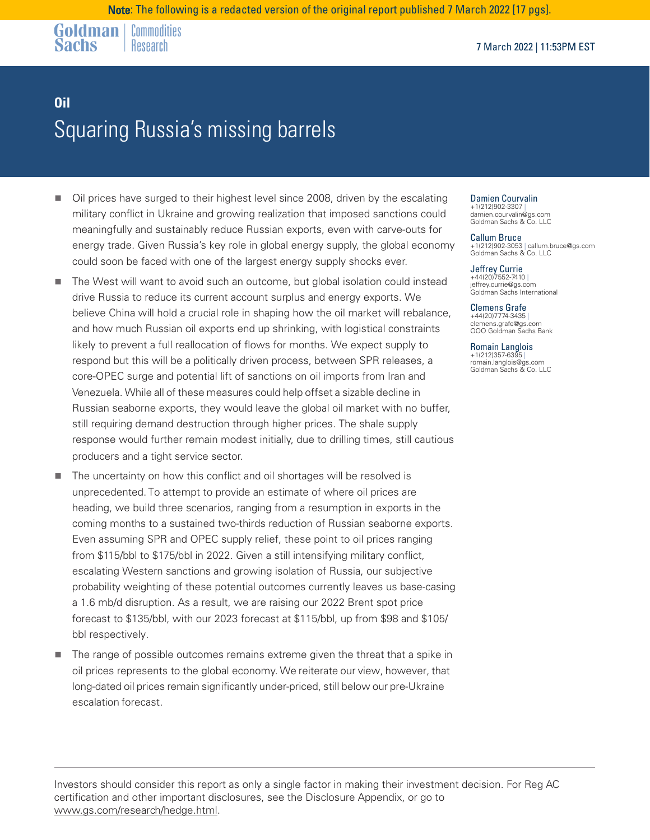Goldman **Commodities Sachs** Research

7 March 2022 | 11:53PM EST

# **Oil** Squaring Russia's missing barrels

- Oil prices have surged to their highest level since 2008, driven by the escalating military conflict in Ukraine and growing realization that imposed sanctions could meaningfully and sustainably reduce Russian exports, even with carve-outs for energy trade. Given Russia's key role in global energy supply, the global economy could soon be faced with one of the largest energy supply shocks ever.
- The West will want to avoid such an outcome, but global isolation could instead drive Russia to reduce its current account surplus and energy exports. We believe China will hold a crucial role in shaping how the oil market will rebalance, and how much Russian oil exports end up shrinking, with logistical constraints likely to prevent a full reallocation of flows for months. We expect supply to respond but this will be a politically driven process, between SPR releases, a core-OPEC surge and potential lift of sanctions on oil imports from Iran and Venezuela. While all of these measures could help offset a sizable decline in Russian seaborne exports, they would leave the global oil market with no buffer, still requiring demand destruction through higher prices. The shale supply response would further remain modest initially, due to drilling times, still cautious producers and a tight service sector.
- $\blacksquare$  The uncertainty on how this conflict and oil shortages will be resolved is unprecedented. To attempt to provide an estimate of where oil prices are heading, we build three scenarios, ranging from a resumption in exports in the coming months to a sustained two-thirds reduction of Russian seaborne exports. Even assuming SPR and OPEC supply relief, these point to oil prices ranging from \$115/bbl to \$175/bbl in 2022. Given a still intensifying military conflict, escalating Western sanctions and growing isolation of Russia, our subjective probability weighting of these potential outcomes currently leaves us base-casing a 1.6 mb/d disruption. As a result, we are raising our 2022 Brent spot price forecast to \$135/bbl, with our 2023 forecast at \$115/bbl, up from \$98 and \$105/ bbl respectively.
- The range of possible outcomes remains extreme given the threat that a spike in oil prices represents to the global economy. We reiterate our view, however, that long-dated oil prices remain significantly under-priced, still below our pre-Ukraine escalation forecast.

Damien Courvalin  $+1(212)902 - 3307$ [damien.courvalin@gs.com](mailto:damien.courvalin@gs.com?subject=Squaring%20Russia%27s%20missing%20barrels) Goldman Sachs & Co. LLC

Callum Bruce +1(212)902-3053 | [callum.bruce@gs.com](mailto:callum.bruce@gs.com?subject=Squaring%20Russia%27s%20missing%20barrels) Goldman Sachs & Co. LLC

Jeffrey Currie +44(20)7552-7410 | [jeffrey.currie@gs.com](mailto:jeffrey.currie@gs.com?subject=Squaring%20Russia%27s%20missing%20barrels) Goldman Sachs International

Clemens Grafe +44(20)7774-3435 | [clemens.grafe@gs.com](mailto:clemens.grafe@gs.com?subject=Squaring%20Russia%27s%20missing%20barrels) OOO Goldman Sachs Bank

Romain Langlois  $+1(212)357-6395$ [romain.langlois@gs.com](mailto:romain.langlois@gs.com?subject=Squaring%20Russia%27s%20missing%20barrels) Goldman Sachs & Co. LLC

Investors should consider this report as only a single factor in making their investment decision. For Reg AC certification and other important disclosures, see the Disclosure Appendix, or go to [www.gs.com/research/hedge.html.](https://www.gs.com/research/hedge.html)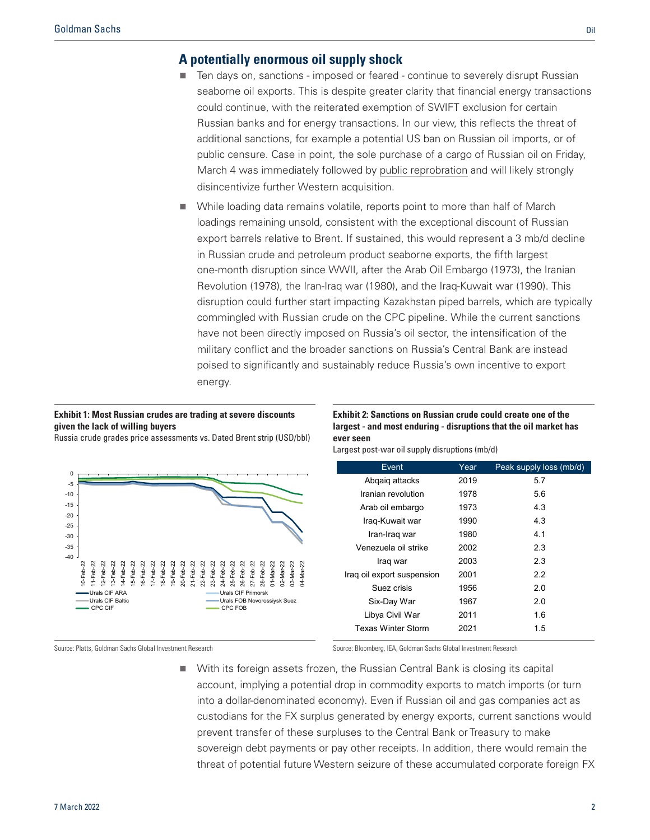# **A potentially enormous oil supply shock**

- Ten days on, sanctions imposed or feared continue to severely disrupt Russian seaborne oil exports. This is despite greater clarity that financial energy transactions could continue, with the reiterated exemption of SWIFT exclusion for certain Russian banks and for energy transactions. In our view, this reflects the threat of additional sanctions, for example a potential US ban on Russian oil imports, or of public censure. Case in point, the sole purchase of a cargo of Russian oil on Friday, March 4 was immediately followed b[y public reprobration](https://www.bloomberg.com/news/articles/2022-03-05/shell-says-russian-oil-buying-was-made-after-government-talks) and will likely strongly disincentivize further Western acquisition.
- While loading data remains volatile, reports point to more than half of March loadings remaining unsold, consistent with the exceptional discount of Russian export barrels relative to Brent. If sustained, this would represent a 3 mb/d decline in Russian crude and petroleum product seaborne exports, the fifth largest one-month disruption since WWII, after the Arab Oil Embargo (1973), the Iranian Revolution (1978), the Iran-Iraq war (1980), and the Iraq-Kuwait war (1990). This disruption could further start impacting Kazakhstan piped barrels, which are typically commingled with Russian crude on the CPC pipeline. While the current sanctions have not been directly imposed on Russia's oil sector, the intensification of the military conflict and the broader sanctions on Russia's Central Bank are instead poised to significantly and sustainably reduce Russia's own incentive to export energy.

## **Exhibit 1: Most Russian crudes are trading at severe discounts given the lack of willing buyers**

Russia crude grades price assessments vs. Dated Brent strip (USD/bbl)



**Exhibit 2: Sanctions on Russian crude could create one of the largest - and most enduring - disruptions that the oil market has ever seen**

| Largest post-war oil supply disruptions (mb/d) |  |  |  |
|------------------------------------------------|--|--|--|
|------------------------------------------------|--|--|--|

| Event                      | Year | Peak supply loss (mb/d) |
|----------------------------|------|-------------------------|
| Abqaiq attacks             | 2019 | 5.7                     |
| Iranian revolution         | 1978 | 5.6                     |
| Arab oil embargo           | 1973 | 4.3                     |
| Iraq-Kuwait war            | 1990 | 4.3                     |
| Iran-Iraq war              | 1980 | 4.1                     |
| Venezuela oil strike       | 2002 | 2.3                     |
| Iraq war                   | 2003 | 2.3                     |
| Irag oil export suspension | 2001 | 2.2                     |
| Suez crisis                | 1956 | 2.0                     |
| Six-Day War                | 1967 | 2.0                     |
| Libya Civil War            | 2011 | 1.6                     |
| <b>Texas Winter Storm</b>  | 2021 | 1.5                     |
|                            |      |                         |

Source: Platts, Goldman Sachs Global Investment Research Source: Bloomberg, IEA, Goldman Sachs Global Investment Research

■ With its foreign assets frozen, the Russian Central Bank is closing its capital account, implying a potential drop in commodity exports to match imports (or turn into a dollar-denominated economy). Even if Russian oil and gas companies act as custodians for the FX surplus generated by energy exports, current sanctions would prevent transfer of these surpluses to the Central Bank or Treasury to make sovereign debt payments or pay other receipts. In addition, there would remain the threat of potential future Western seizure of these accumulated corporate foreign FX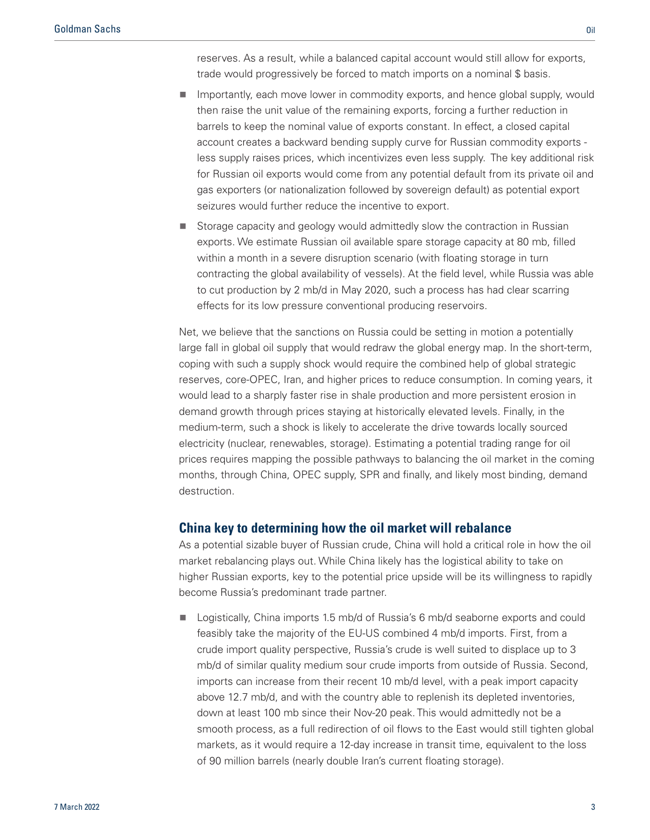reserves. As a result, while a balanced capital account would still allow for exports, trade would progressively be forced to match imports on a nominal \$ basis.

- $\blacksquare$  Importantly, each move lower in commodity exports, and hence global supply, would then raise the unit value of the remaining exports, forcing a further reduction in barrels to keep the nominal value of exports constant. In effect, a closed capital account creates a backward bending supply curve for Russian commodity exports less supply raises prices, which incentivizes even less supply. The key additional risk for Russian oil exports would come from any potential default from its private oil and gas exporters (or nationalization followed by sovereign default) as potential export seizures would further reduce the incentive to export.
- Storage capacity and geology would admittedly slow the contraction in Russian exports. We estimate Russian oil available spare storage capacity at 80 mb, filled within a month in a severe disruption scenario (with floating storage in turn contracting the global availability of vessels). At the field level, while Russia was able to cut production by 2 mb/d in May 2020, such a process has had clear scarring effects for its low pressure conventional producing reservoirs.

Net, we believe that the sanctions on Russia could be setting in motion a potentially large fall in global oil supply that would redraw the global energy map. In the short-term, coping with such a supply shock would require the combined help of global strategic reserves, core-OPEC, Iran, and higher prices to reduce consumption. In coming years, it would lead to a sharply faster rise in shale production and more persistent erosion in demand growth through prices staying at historically elevated levels. Finally, in the medium-term, such a shock is likely to accelerate the drive towards locally sourced electricity (nuclear, renewables, storage). Estimating a potential trading range for oil prices requires mapping the possible pathways to balancing the oil market in the coming months, through China, OPEC supply, SPR and finally, and likely most binding, demand destruction.

# **China key to determining how the oil market will rebalance**

As a potential sizable buyer of Russian crude, China will hold a critical role in how the oil market rebalancing plays out. While China likely has the logistical ability to take on higher Russian exports, key to the potential price upside will be its willingness to rapidly become Russia's predominant trade partner.

■ Logistically, China imports 1.5 mb/d of Russia's 6 mb/d seaborne exports and could feasibly take the majority of the EU-US combined 4 mb/d imports. First, from a crude import quality perspective, Russia's crude is well suited to displace up to 3 mb/d of similar quality medium sour crude imports from outside of Russia. Second, imports can increase from their recent 10 mb/d level, with a peak import capacity above 12.7 mb/d, and with the country able to replenish its depleted inventories, down at least 100 mb since their Nov-20 peak. This would admittedly not be a smooth process, as a full redirection of oil flows to the East would still tighten global markets, as it would require a 12-day increase in transit time, equivalent to the loss of 90 million barrels (nearly double Iran's current floating storage).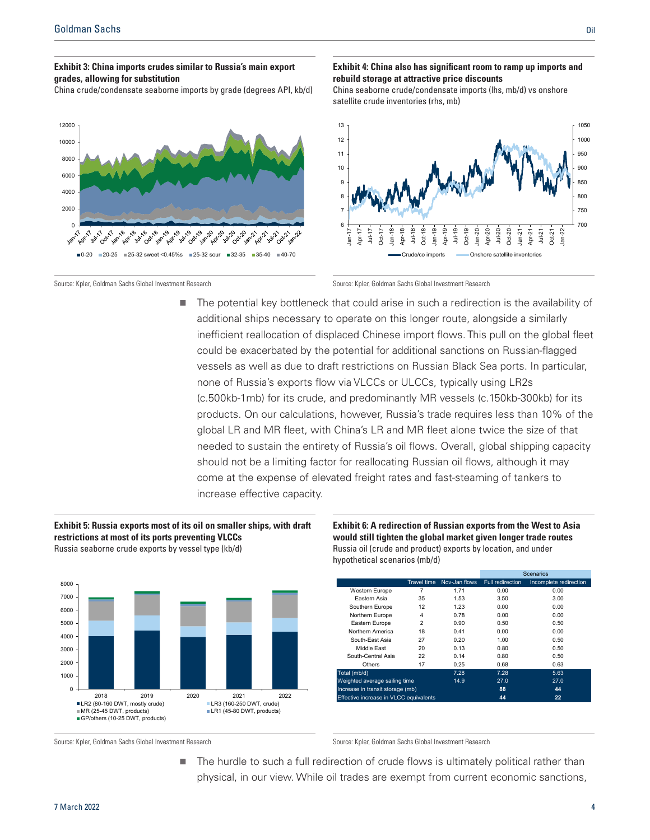#### **Exhibit 3: China imports crudes similar to Russia's main export grades, allowing for substitution**

China crude/condensate seaborne imports by grade (degrees API, kb/d)



**Exhibit 4: China also has significant room to ramp up imports and rebuild storage at attractive price discounts**

China seaborne crude/condensate imports (lhs, mb/d) vs onshore satellite crude inventories (rhs, mb)



Source: Kpler, Goldman Sachs Global Investment Research Source: Kolorce: Koler, Goldman Sachs Global Investment Research

The potential key bottleneck that could arise in such a redirection is the availability of additional ships necessary to operate on this longer route, alongside a similarly inefficient reallocation of displaced Chinese import flows. This pull on the global fleet could be exacerbated by the potential for additional sanctions on Russian-flagged vessels as well as due to draft restrictions on Russian Black Sea ports. In particular, none of Russia's exports flow via VLCCs or ULCCs, typically using LR2s (c.500kb-1mb) for its crude, and predominantly MR vessels (c.150kb-300kb) for its products. On our calculations, however, Russia's trade requires less than 10% of the global LR and MR fleet, with China's LR and MR fleet alone twice the size of that needed to sustain the entirety of Russia's oil flows. Overall, global shipping capacity should not be a limiting factor for reallocating Russian oil flows, although it may come at the expense of elevated freight rates and fast-steaming of tankers to increase effective capacity.

### **Exhibit 5: Russia exports most of its oil on smaller ships, with draft restrictions at most of its ports preventing VLCCs** Russia seaborne crude exports by vessel type (kb/d)



**Exhibit 6: A redirection of Russian exports from the West to Asia would still tighten the global market given longer trade routes** Russia oil (crude and product) exports by location, and under hypothetical scenarios (mb/d)

|                                        |                    |               |                  | Scenarios              |
|----------------------------------------|--------------------|---------------|------------------|------------------------|
|                                        | <b>Travel time</b> | Nov-Jan flows | Full redirection | Incomplete redirection |
| <b>Western Europe</b>                  | 7                  | 1.71          | 0.00             | 0.00                   |
| <b>Eastern Asia</b>                    | 35                 | 1.53          | 3.50             | 3.00                   |
| Southern Europe                        | 12                 | 1.23          | 0.00             | 0.00                   |
| Northern Europe                        | $\overline{4}$     | 0.78          | 0.00             | 0.00                   |
| Eastern Europe                         | $\overline{2}$     | 0.90          | 0.50             | 0.50                   |
| Northern America                       | 18                 | 0.41          | 0.00             | 0.00                   |
| South-East Asia                        | 27                 | 0.20          | 1.00             | 0.50                   |
| Middle East                            | 20                 | 0.13          | 0.80             | 0.50                   |
| South-Central Asia                     | 22                 | 0.14          | 0.80             | 0.50                   |
| Others                                 | 17                 | 0.25          | 0.68             | 0.63                   |
| Total (mb/d)                           |                    | 7.28          | 7.28             | 5.63                   |
| Weighted average sailing time          |                    | 14.9          | 27.0             | 27.0                   |
| Increase in transit storage (mb)       |                    |               | 88               | 44                     |
| Effective increase in VLCC equivalents |                    |               | 44               | 22                     |

Source: Kpler, Goldman Sachs Global Investment Research Source: Kpler, Goldman Sachs Global Investment Research

The hurdle to such a full redirection of crude flows is ultimately political rather than physical, in our view. While oil trades are exempt from current economic sanctions,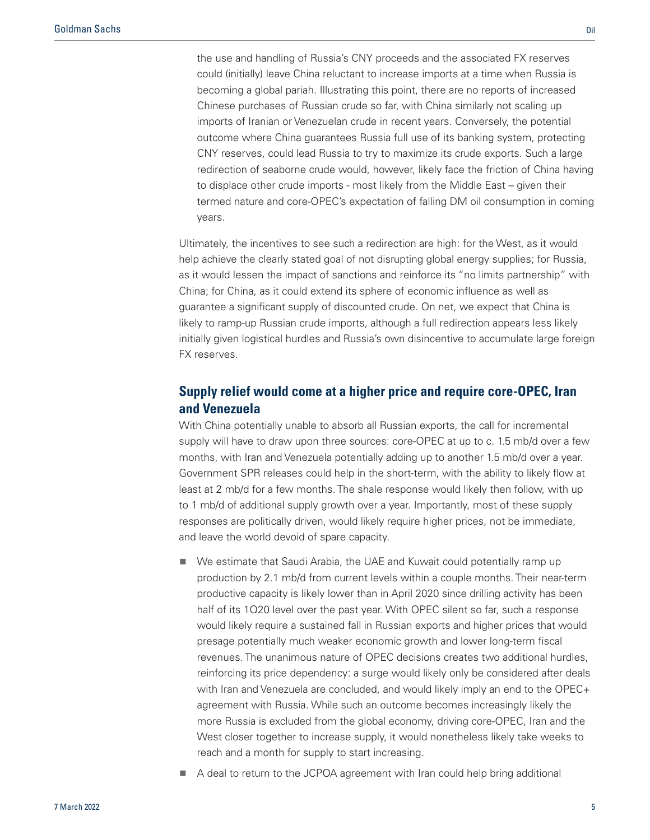the use and handling of Russia's CNY proceeds and the associated FX reserves could (initially) leave China reluctant to increase imports at a time when Russia is becoming a global pariah. Illustrating this point, there are no reports of increased Chinese purchases of Russian crude so far, with China similarly not scaling up imports of Iranian or Venezuelan crude in recent years. Conversely, the potential outcome where China guarantees Russia full use of its banking system, protecting CNY reserves, could lead Russia to try to maximize its crude exports. Such a large redirection of seaborne crude would, however, likely face the friction of China having to displace other crude imports - most likely from the Middle East – given their termed nature and core-OPEC's expectation of falling DM oil consumption in coming years.

Ultimately, the incentives to see such a redirection are high: for the West, as it would help achieve the clearly stated goal of not disrupting global energy supplies; for Russia, as it would lessen the impact of sanctions and reinforce its "no limits partnership" with China; for China, as it could extend its sphere of economic influence as well as guarantee a significant supply of discounted crude. On net, we expect that China is likely to ramp-up Russian crude imports, although a full redirection appears less likely initially given logistical hurdles and Russia's own disincentive to accumulate large foreign FX reserves.

# **Supply relief would come at a higher price and require core-OPEC, Iran and Venezuela**

With China potentially unable to absorb all Russian exports, the call for incremental supply will have to draw upon three sources: core-OPEC at up to c. 1.5 mb/d over a few months, with Iran and Venezuela potentially adding up to another 1.5 mb/d over a year. Government SPR releases could help in the short-term, with the ability to likely flow at least at 2 mb/d for a few months. The shale response would likely then follow, with up to 1 mb/d of additional supply growth over a year. Importantly, most of these supply responses are politically driven, would likely require higher prices, not be immediate, and leave the world devoid of spare capacity.

- We estimate that Saudi Arabia, the UAE and Kuwait could potentially ramp up production by 2.1 mb/d from current levels within a couple months. Their near-term productive capacity is likely lower than in April 2020 since drilling activity has been half of its 1Q20 level over the past year. With OPEC silent so far, such a response would likely require a sustained fall in Russian exports and higher prices that would presage potentially much weaker economic growth and lower long-term fiscal revenues. The unanimous nature of OPEC decisions creates two additional hurdles, reinforcing its price dependency: a surge would likely only be considered after deals with Iran and Venezuela are concluded, and would likely imply an end to the OPEC+ agreement with Russia. While such an outcome becomes increasingly likely the more Russia is excluded from the global economy, driving core-OPEC, Iran and the West closer together to increase supply, it would nonetheless likely take weeks to reach and a month for supply to start increasing.
- n A deal to return to the JCPOA agreement with Iran could help bring additional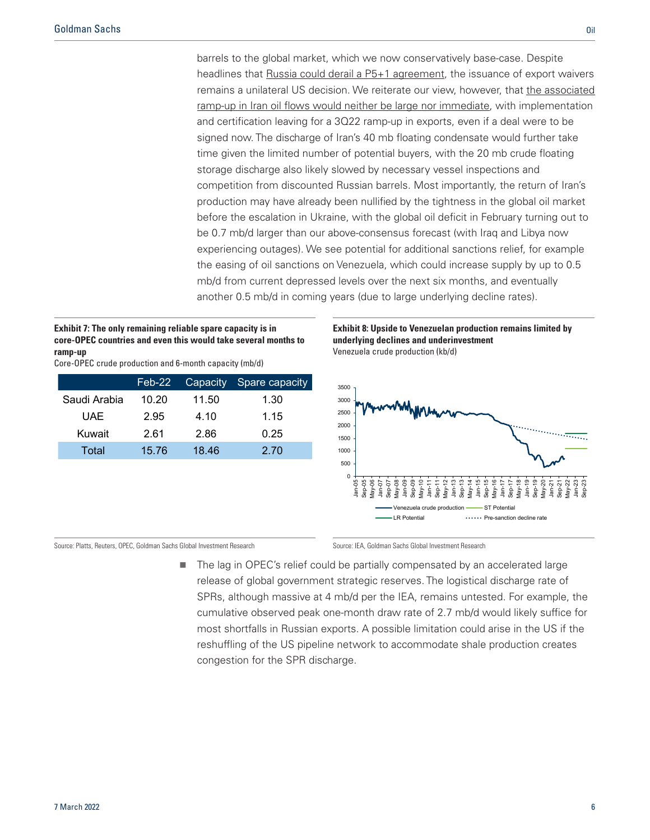barrels to the global market, which we now conservatively base-case. Despite headlines that [Russia could derail a P5+1 agreement,](https://www.theguardian.com/world/2022/mar/06/iran-nuclear-talks-rocked-by-russian-demand-for-sanctions-exemption) the issuance of export waivers remains a unilateral US decision. We reiterate our view, however, that [the associated](https://publishing.gs.com/content/research/en/reports/2022/02/08/f9f65f15-2b5e-45e3-9e35-f4f9105aa416.html) [ramp-up in Iran oil flows would neither be large nor immediate,](https://publishing.gs.com/content/research/en/reports/2022/02/08/f9f65f15-2b5e-45e3-9e35-f4f9105aa416.html) with implementation and certification leaving for a 3Q22 ramp-up in exports, even if a deal were to be signed now. The discharge of Iran's 40 mb floating condensate would further take time given the limited number of potential buyers, with the 20 mb crude floating storage discharge also likely slowed by necessary vessel inspections and competition from discounted Russian barrels. Most importantly, the return of Iran's production may have already been nullified by the tightness in the global oil market before the escalation in Ukraine, with the global oil deficit in February turning out to be 0.7 mb/d larger than our above-consensus forecast (with Iraq and Libya now experiencing outages). We see potential for additional sanctions relief, for example the easing of oil sanctions on Venezuela, which could increase supply by up to 0.5 mb/d from current depressed levels over the next six months, and eventually another 0.5 mb/d in coming years (due to large underlying decline rates).

# **Exhibit 7: The only remaining reliable spare capacity is in core-OPEC countries and even this would take several months to ramp-up**

| Core-OPEC crude production and 6-month capacity (mb/d) |  |  |  |  |  |
|--------------------------------------------------------|--|--|--|--|--|
|--------------------------------------------------------|--|--|--|--|--|

|              | Feb-22 | Capacity | Spare capacity |
|--------------|--------|----------|----------------|
| Saudi Arabia | 10.20  | 11.50    | 1.30           |
| UAE          | 2.95   | 4.10     | 1.15           |
| Kuwait       | 2.61   | 2.86     | 0.25           |
| Total        | 15.76  | 18.46    | 2.70           |

Source: Platts, Reuters, OPEC, Goldman Sachs Global Investment Research Source: IEA, Goldman Sachs Global Investment Research

■ The lag in OPEC's relief could be partially compensated by an accelerated large release of global government strategic reserves. The logistical discharge rate of SPRs, although massive at 4 mb/d per the IEA, remains untested. For example, the cumulative observed peak one-month draw rate of 2.7 mb/d would likely suffice for most shortfalls in Russian exports. A possible limitation could arise in the US if the reshuffling of the US pipeline network to accommodate shale production creates congestion for the SPR discharge.



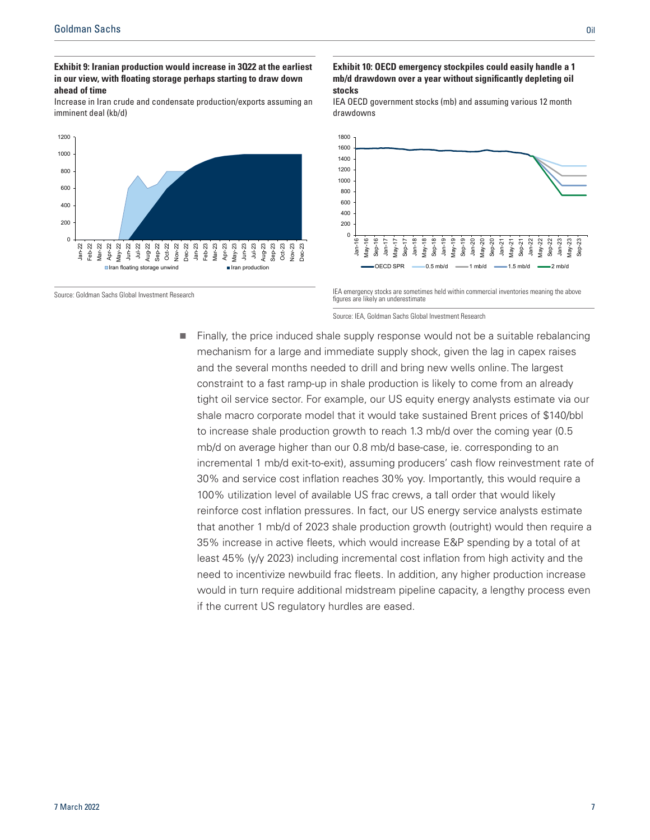#### **Exhibit 9: Iranian production would increase in 3Q22 at the earliest in our view, with floating storage perhaps starting to draw down ahead of time**

Increase in Iran crude and condensate production/exports assuming an imminent deal (kb/d)



**Exhibit 10: OECD emergency stockpiles could easily handle a 1 mb/d drawdown over a year without significantly depleting oil stocks**

IEA OECD government stocks (mb) and assuming various 12 month drawdowns



Source: Goldman Sachs Global Investment Research IEA emergency stocks are sometimes held within commercial inventories meaning the above figures are likely an underestimate

#### Source: IEA, Goldman Sachs Global Investment Research

Finally, the price induced shale supply response would not be a suitable rebalancing mechanism for a large and immediate supply shock, given the lag in capex raises and the several months needed to drill and bring new wells online. The largest constraint to a fast ramp-up in shale production is likely to come from an already tight oil service sector. For example, our US equity energy analysts estimate via our shale macro corporate model that it would take sustained Brent prices of \$140/bbl to increase shale production growth to reach 1.3 mb/d over the coming year (0.5 mb/d on average higher than our 0.8 mb/d base-case, ie. corresponding to an incremental 1 mb/d exit-to-exit), assuming producers' cash flow reinvestment rate of 30% and service cost inflation reaches 30% yoy. Importantly, this would require a 100% utilization level of available US frac crews, a tall order that would likely reinforce cost inflation pressures. In fact, our US energy service analysts estimate that another 1 mb/d of 2023 shale production growth (outright) would then require a 35% increase in active fleets, which would increase E&P spending by a total of at least 45% (y/y 2023) including incremental cost inflation from high activity and the need to incentivize newbuild frac fleets. In addition, any higher production increase would in turn require additional midstream pipeline capacity, a lengthy process even if the current US regulatory hurdles are eased.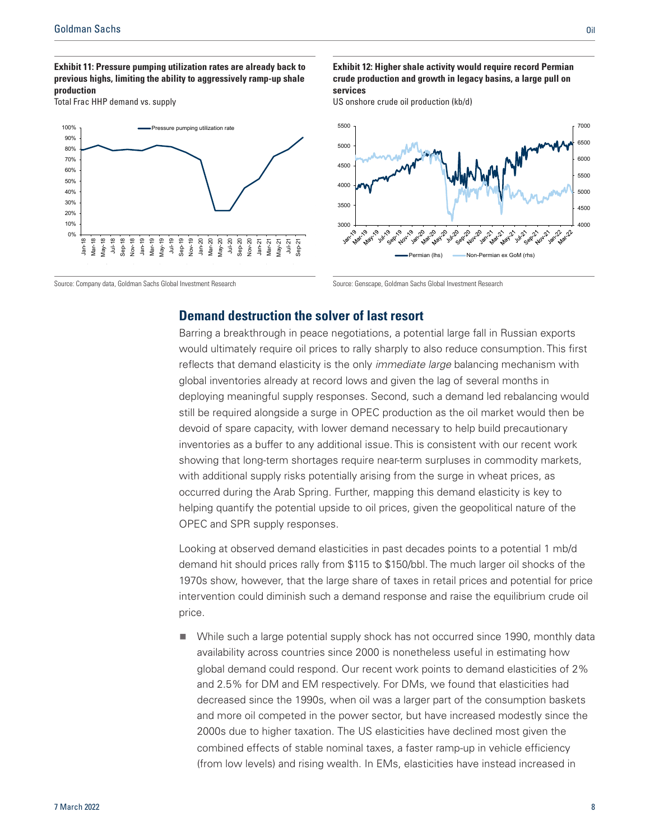**Exhibit 11: Pressure pumping utilization rates are already back to previous highs, limiting the ability to aggressively ramp-up shale production**

Total Frac HHP demand vs. supply



**Exhibit 12: Higher shale activity would require record Permian crude production and growth in legacy basins, a large pull on services**

US onshore crude oil production (kb/d)



Source: Company data, Goldman Sachs Global Investment Research Source: Genscape, Goldman Sachs Global Investment Research

# **Demand destruction the solver of last resort**

Barring a breakthrough in peace negotiations, a potential large fall in Russian exports would ultimately require oil prices to rally sharply to also reduce consumption. This first reflects that demand elasticity is the only *immediate large* balancing mechanism with global inventories already at record lows and given the lag of several months in deploying meaningful supply responses. Second, such a demand led rebalancing would still be required alongside a surge in OPEC production as the oil market would then be devoid of spare capacity, with lower demand necessary to help build precautionary inventories as a buffer to any additional issue. This is consistent with our recent work showing that long-term shortages require near-term surpluses in commodity markets, with additional supply risks potentially arising from the surge in wheat prices, as occurred during the Arab Spring. Further, mapping this demand elasticity is key to helping quantify the potential upside to oil prices, given the geopolitical nature of the OPEC and SPR supply responses.

Looking at observed demand elasticities in past decades points to a potential 1 mb/d demand hit should prices rally from \$115 to \$150/bbl. The much larger oil shocks of the 1970s show, however, that the large share of taxes in retail prices and potential for price intervention could diminish such a demand response and raise the equilibrium crude oil price.

■ While such a large potential supply shock has not occurred since 1990, monthly data availability across countries since 2000 is nonetheless useful in estimating how global demand could respond. Our recent work points to demand elasticities of 2% and 2.5% for DM and EM respectively. For DMs, we found that elasticities had decreased since the 1990s, when oil was a larger part of the consumption baskets and more oil competed in the power sector, but have increased modestly since the 2000s due to higher taxation. The US elasticities have declined most given the combined effects of stable nominal taxes, a faster ramp-up in vehicle efficiency (from low levels) and rising wealth. In EMs, elasticities have instead increased in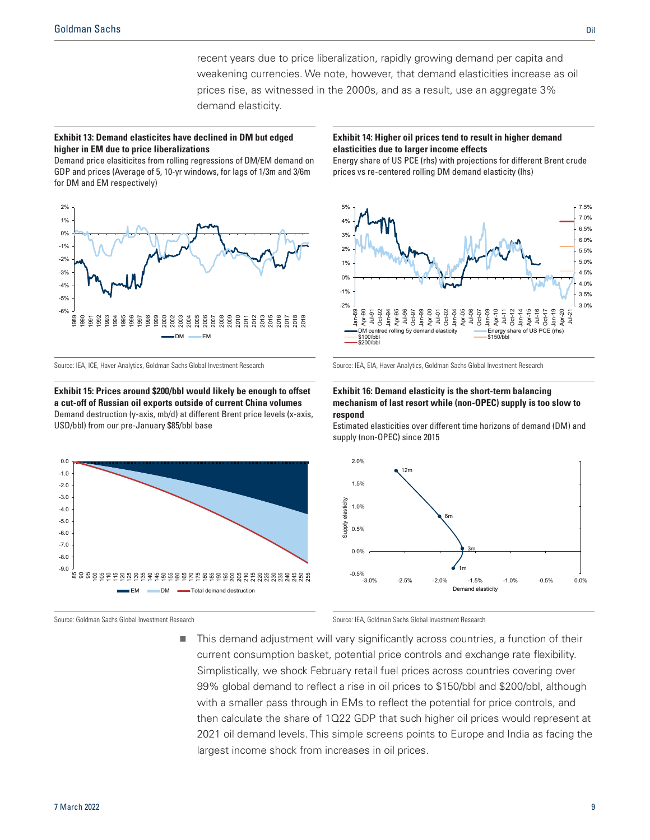recent years due to price liberalization, rapidly growing demand per capita and weakening currencies. We note, however, that demand elasticities increase as oil prices rise, as witnessed in the 2000s, and as a result, use an aggregate 3% demand elasticity.

#### **Exhibit 13: Demand elasticites have declined in DM but edged higher in EM due to price liberalizations**

Demand price elasiticites from rolling regressions of DM/EM demand on GDP and prices (Average of 5, 10-yr windows, for lags of 1/3m and 3/6m for DM and EM respectively)



Source: IEA, ICE, Haver Analytics, Goldman Sachs Global Investment Research Source: IEA, EIA, Haver Analytics, Goldman Sachs Global Investment Research

**Exhibit 15: Prices around \$200/bbl would likely be enough to offset a cut-off of Russian oil exports outside of current China volumes** Demand destruction (y-axis, mb/d) at different Brent price levels (x-axis, USD/bbl) from our pre-January \$85/bbl base



## **Exhibit 14: Higher oil prices tend to result in higher demand elasticities due to larger income effects**

Energy share of US PCE (rhs) with projections for different Brent crude prices vs re-centered rolling DM demand elasticity (lhs)



### **Exhibit 16: Demand elasticity is the short-term balancing mechanism of last resort while (non-OPEC) supply is too slow to respond**

Estimated elasticities over different time horizons of demand (DM) and supply (non-OPEC) since 2015



Source: Goldman Sachs Global Investment Research Source: IEA, Goldman Sachs Global Investment Research Source: IEA, Goldman Sachs Global Investment Research

 $\blacksquare$  This demand adjustment will vary significantly across countries, a function of their current consumption basket, potential price controls and exchange rate flexibility. Simplistically, we shock February retail fuel prices across countries covering over 99% global demand to reflect a rise in oil prices to \$150/bbl and \$200/bbl, although with a smaller pass through in EMs to reflect the potential for price controls, and then calculate the share of 1Q22 GDP that such higher oil prices would represent at 2021 oil demand levels. This simple screens points to Europe and India as facing the largest income shock from increases in oil prices.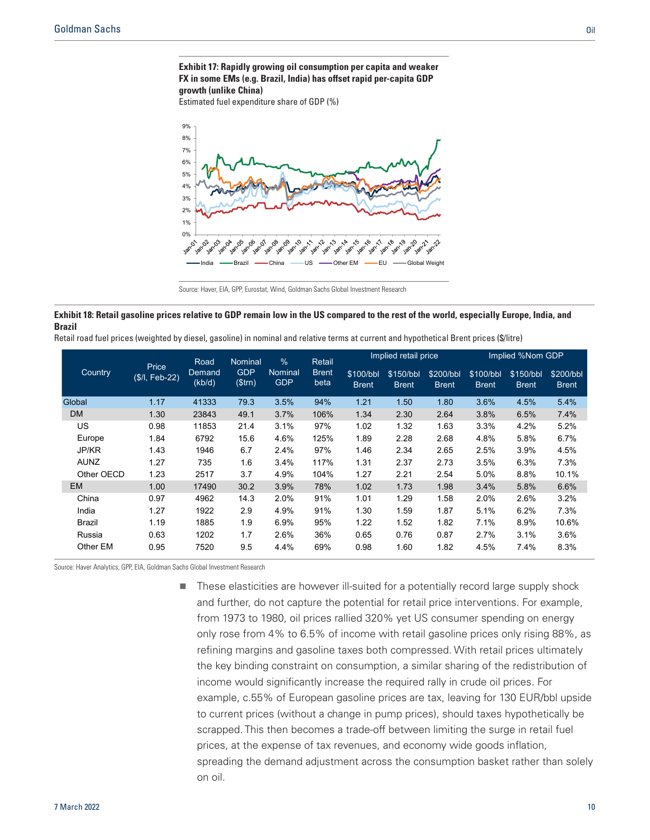# **Exhibit 17: Rapidly growing oil consumption per capita and weaker FX in some EMs (e.g. Brazil, India) has offset rapid per-capita GDP growth (unlike China)**

Estimated fuel expenditure share of GDP (%)



Source: Haver, EIA, GPP, Eurostat, Wind, Goldman Sachs Global Investment Research

#### **Exhibit 18: Retail gasoline prices relative to GDP remain low in the US compared to the rest of the world, especially Europe, India, and Brazil**

Retail road fuel prices (weighted by diesel, gasoline) in nominal and relative terms at current and hypothetical Brent prices (\$/litre)

|             |                         | Road             | <b>Nominal</b>   | %                            | Retail               |                           | Implied retail price      |                           |                           | Implied %Nom GDP          |                           |
|-------------|-------------------------|------------------|------------------|------------------------------|----------------------|---------------------------|---------------------------|---------------------------|---------------------------|---------------------------|---------------------------|
| Country     | Price<br>(\$/I, Feb-22) | Demand<br>(kb/d) | <b>GDP</b><br>\$ | <b>Nominal</b><br><b>GDP</b> | <b>Brent</b><br>beta | \$100/bbl<br><b>Brent</b> | \$150/bbl<br><b>Brent</b> | \$200/bbl<br><b>Brent</b> | \$100/bbl<br><b>Brent</b> | \$150/bbl<br><b>Brent</b> | \$200/bbl<br><b>Brent</b> |
| Global      | 1.17                    | 41333            | 79.3             | 3.5%                         | 94%                  | 1.21                      | 1.50                      | 1.80                      | 3.6%                      | 4.5%                      | 5.4%                      |
| <b>DM</b>   | 1.30                    | 23843            | 49.1             | 3.7%                         | 106%                 | 1.34                      | 2.30                      | 2.64                      | 3.8%                      | 6.5%                      | 7.4%                      |
| <b>US</b>   | 0.98                    | 11853            | 21.4             | 3.1%                         | 97%                  | 1.02                      | 1.32                      | 1.63                      | 3.3%                      | 4.2%                      | 5.2%                      |
| Europe      | 1.84                    | 6792             | 15.6             | 4.6%                         | 125%                 | 1.89                      | 2.28                      | 2.68                      | 4.8%                      | 5.8%                      | 6.7%                      |
| JP/KR       | 1.43                    | 1946             | 6.7              | 2.4%                         | 97%                  | 1.46                      | 2.34                      | 2.65                      | 2.5%                      | 3.9%                      | 4.5%                      |
| <b>AUNZ</b> | 1.27                    | 735              | 1.6              | 3.4%                         | 117%                 | 1.31                      | 2.37                      | 2.73                      | 3.5%                      | 6.3%                      | 7.3%                      |
| Other OECD  | 1.23                    | 2517             | 3.7              | 4.9%                         | 104%                 | 1.27                      | 2.21                      | 2.54                      | 5.0%                      | 8.8%                      | 10.1%                     |
| <b>EM</b>   | 1.00                    | 17490            | 30.2             | 3.9%                         | 78%                  | 1.02                      | 1.73                      | 1.98                      | 3.4%                      | 5.8%                      | 6.6%                      |
| China       | 0.97                    | 4962             | 14.3             | 2.0%                         | 91%                  | 1.01                      | 1.29                      | 1.58                      | 2.0%                      | 2.6%                      | 3.2%                      |
| India       | 1.27                    | 1922             | 2.9              | 4.9%                         | 91%                  | 1.30                      | 1.59                      | 1.87                      | 5.1%                      | 6.2%                      | 7.3%                      |
| Brazil      | 1.19                    | 1885             | 1.9              | 6.9%                         | 95%                  | 1.22                      | 1.52                      | 1.82                      | 7.1%                      | 8.9%                      | 10.6%                     |
| Russia      | 0.63                    | 1202             | 1.7              | 2.6%                         | 36%                  | 0.65                      | 0.76                      | 0.87                      | 2.7%                      | 3.1%                      | 3.6%                      |
| Other EM    | 0.95                    | 7520             | 9.5              | 4.4%                         | 69%                  | 0.98                      | 1.60                      | 1.82                      | 4.5%                      | 7.4%                      | 8.3%                      |

Source: Haver Analytics, GPP, EIA, Goldman Sachs Global Investment Research

n These elasticities are however ill-suited for a potentially record large supply shock and further, do not capture the potential for retail price interventions. For example, from 1973 to 1980, oil prices rallied 320% yet US consumer spending on energy only rose from 4% to 6.5% of income with retail gasoline prices only rising 88%, as refining margins and gasoline taxes both compressed. With retail prices ultimately the key binding constraint on consumption, a similar sharing of the redistribution of income would significantly increase the required rally in crude oil prices. For example, c.55% of European gasoline prices are tax, leaving for 130 EUR/bbl upside to current prices (without a change in pump prices), should taxes hypothetically be scrapped. This then becomes a trade-off between limiting the surge in retail fuel prices, at the expense of tax revenues, and economy wide goods inflation, spreading the demand adjustment across the consumption basket rather than solely on oil.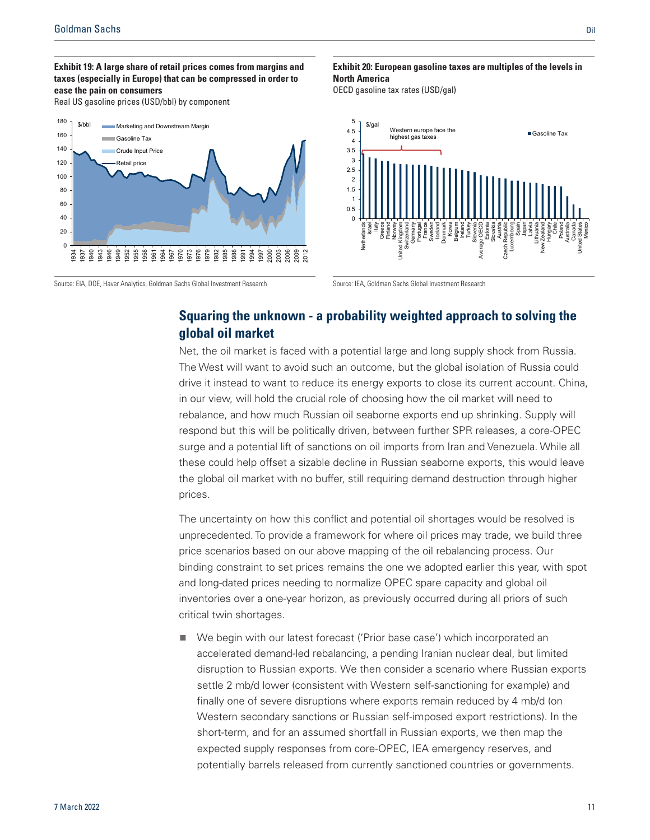### **Exhibit 19: A large share of retail prices comes from margins and taxes (especially in Europe) that can be compressed in order to ease the pain on consumers**

Real US gasoline prices (USD/bbl) by component



Source: EIA, DOE, Haver Analytics, Goldman Sachs Global Investment Research Source: IEA, Goldman Sachs Global Investment Research

**Exhibit 20: European gasoline taxes are multiples of the levels in North America**

OECD gasoline tax rates (USD/gal)



# **Squaring the unknown - a probability weighted approach to solving the global oil market**

Net, the oil market is faced with a potential large and long supply shock from Russia. The West will want to avoid such an outcome, but the global isolation of Russia could drive it instead to want to reduce its energy exports to close its current account. China, in our view, will hold the crucial role of choosing how the oil market will need to rebalance, and how much Russian oil seaborne exports end up shrinking. Supply will respond but this will be politically driven, between further SPR releases, a core-OPEC surge and a potential lift of sanctions on oil imports from Iran and Venezuela. While all these could help offset a sizable decline in Russian seaborne exports, this would leave the global oil market with no buffer, still requiring demand destruction through higher prices.

The uncertainty on how this conflict and potential oil shortages would be resolved is unprecedented. To provide a framework for where oil prices may trade, we build three price scenarios based on our above mapping of the oil rebalancing process. Our binding constraint to set prices remains the one we adopted earlier this year, with spot and long-dated prices needing to normalize OPEC spare capacity and global oil inventories over a one-year horizon, as previously occurred during all priors of such critical twin shortages.

We begin with our latest forecast ('Prior base case') which incorporated an accelerated demand-led rebalancing, a pending Iranian nuclear deal, but limited disruption to Russian exports. We then consider a scenario where Russian exports settle 2 mb/d lower (consistent with Western self-sanctioning for example) and finally one of severe disruptions where exports remain reduced by 4 mb/d (on Western secondary sanctions or Russian self-imposed export restrictions). In the short-term, and for an assumed shortfall in Russian exports, we then map the expected supply responses from core-OPEC, IEA emergency reserves, and potentially barrels released from currently sanctioned countries or governments.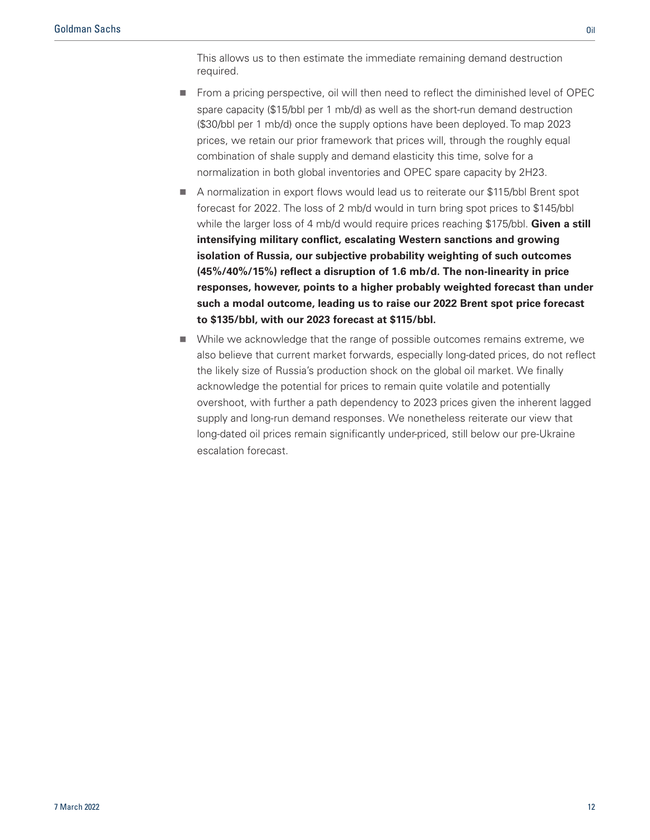This allows us to then estimate the immediate remaining demand destruction required.

- **n** From a pricing perspective, oil will then need to reflect the diminished level of OPEC spare capacity (\$15/bbl per 1 mb/d) as well as the short-run demand destruction (\$30/bbl per 1 mb/d) once the supply options have been deployed. To map 2023 prices, we retain our prior framework that prices will, through the roughly equal combination of shale supply and demand elasticity this time, solve for a normalization in both global inventories and OPEC spare capacity by 2H23.
- A normalization in export flows would lead us to reiterate our \$115/bbl Brent spot forecast for 2022. The loss of 2 mb/d would in turn bring spot prices to \$145/bbl while the larger loss of 4 mb/d would require prices reaching \$175/bbl. **Given a still intensifying military conflict, escalating Western sanctions and growing isolation of Russia, our subjective probability weighting of such outcomes (45%/40%/15%) reflect a disruption of 1.6 mb/d. The non-linearity in price responses, however, points to a higher probably weighted forecast than under such a modal outcome, leading us to raise our 2022 Brent spot price forecast to \$135/bbl, with our 2023 forecast at \$115/bbl.**
- n While we acknowledge that the range of possible outcomes remains extreme, we also believe that current market forwards, especially long-dated prices, do not reflect the likely size of Russia's production shock on the global oil market. We finally acknowledge the potential for prices to remain quite volatile and potentially overshoot, with further a path dependency to 2023 prices given the inherent lagged supply and long-run demand responses. We nonetheless reiterate our view that long-dated oil prices remain significantly under-priced, still below our pre-Ukraine escalation forecast.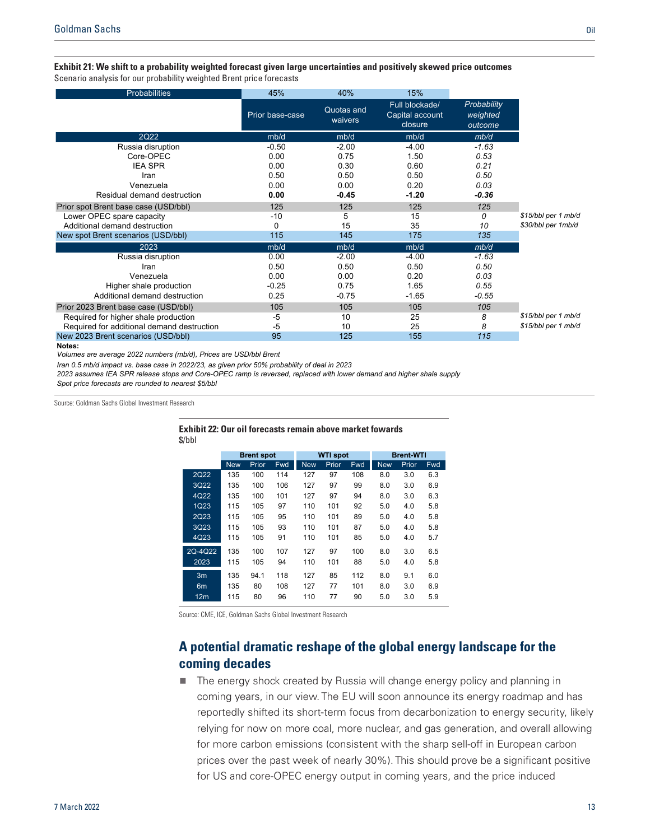| <b>Probabilities</b>                       | 45%             | 40%                   | 15%                                          |                                    |                     |
|--------------------------------------------|-----------------|-----------------------|----------------------------------------------|------------------------------------|---------------------|
|                                            | Prior base-case | Quotas and<br>waivers | Full blockade/<br>Capital account<br>closure | Probability<br>weighted<br>outcome |                     |
| 2Q22                                       | mb/d            | mb/d                  | mb/d                                         | mb/d                               |                     |
| Russia disruption                          | $-0.50$         | $-2.00$               | $-4.00$                                      | $-1.63$                            |                     |
| Core-OPEC                                  | 0.00            | 0.75                  | 1.50                                         | 0.53                               |                     |
| <b>IEA SPR</b>                             | 0.00            | 0.30                  | 0.60                                         | 0.21                               |                     |
| Iran                                       | 0.50            | 0.50                  | 0.50                                         | 0.50                               |                     |
| Venezuela                                  | 0.00            | 0.00                  | 0.20                                         | 0.03                               |                     |
| Residual demand destruction                | 0.00            | $-0.45$               | $-1.20$                                      | -0.36                              |                     |
| Prior spot Brent base case (USD/bbl)       | 125             | 125                   | 125                                          | 125                                |                     |
| Lower OPEC spare capacity                  | $-10$           | 5                     | 15                                           | 0                                  | \$15/bbl per 1 mb/d |
| Additional demand destruction              | <sup>0</sup>    | 15                    | 35                                           | 10                                 | \$30/bbl per 1mb/d  |
| New spot Brent scenarios (USD/bbl)         | 115             | 145                   | 175                                          | 135                                |                     |
| 2023                                       | mb/d            | mb/d                  | mb/d                                         | mb/d                               |                     |
| Russia disruption                          | 0.00            | $-2.00$               | $-4.00$                                      | $-1.63$                            |                     |
| Iran                                       | 0.50            | 0.50                  | 0.50                                         | 0.50                               |                     |
| Venezuela                                  | 0.00            | 0.00                  | 0.20                                         | 0.03                               |                     |
| Higher shale production                    | $-0.25$         | 0.75                  | 1.65                                         | 0.55                               |                     |
| Additional demand destruction              | 0.25            | $-0.75$               | $-1.65$                                      | $-0.55$                            |                     |
| Prior 2023 Brent base case (USD/bbl)       | 105             | 105                   | 105                                          | 105                                |                     |
| Required for higher shale production       | -5              | 10                    | 25                                           | 8                                  | \$15/bbl per 1 mb/d |
| Required for additional demand destruction | $-5$            | 10                    | 25                                           | 8                                  | \$15/bbl per 1 mb/d |
| New 2023 Brent scenarios (USD/bbl)         | 95              | 125                   | 155                                          | 115                                |                     |

**Notes:**

*Volumes are average 2022 numbers (mb/d), Prices are USD/bbl Brent*

*Iran 0.5 mb/d impact vs. base case in 2022/23, as given prior 50% probability of deal in 2023*

*2023 assumes IEA SPR release stops and Core-OPEC ramp is reversed, replaced with lower demand and higher shale supply*

*Spot price forecasts are rounded to nearest \$5/bbl*

Source: Goldman Sachs Global Investment Research

|                 |            | <b>Brent spot</b> |            |            | <b>WTI spot</b> |            |            | <b>Brent-WTI</b> |     |  |
|-----------------|------------|-------------------|------------|------------|-----------------|------------|------------|------------------|-----|--|
|                 | <b>New</b> | Prior             | <b>Fwd</b> | <b>New</b> | Prior           | <b>Fwd</b> | <b>New</b> | Prior            | Fwd |  |
| <b>2Q22</b>     | 135        | 100               | 114        | 127        | 97              | 108        | 8.0        | 3.0              | 6.3 |  |
| 3Q22            | 135        | 100               | 106        | 127        | 97              | 99         | 8.0        | 3.0              | 6.9 |  |
| 4Q22            | 135        | 100               | 101        | 127        | 97              | 94         | 8.0        | 3.0              | 6.3 |  |
| <b>1Q23</b>     | 115        | 105               | 97         | 110        | 101             | 92         | 5.0        | 4.0              | 5.8 |  |
| <b>2Q23</b>     | 115        | 105               | 95         | 110        | 101             | 89         | 5.0        | 4.0              | 5.8 |  |
| 3Q23            | 115        | 105               | 93         | 110        | 101             | 87         | 5.0        | 4.0              | 5.8 |  |
| 4Q23            | 115        | 105               | 91         | 110        | 101             | 85         | 5.0        | 4.0              | 5.7 |  |
| 2Q-4Q22         | 135        | 100               | 107        | 127        | 97              | 100        | 8.0        | 3.0              | 6.5 |  |
| 2023            | 115        | 105               | 94         | 110        | 101             | 88         | 5.0        | 4.0              | 5.8 |  |
| 3 <sub>m</sub>  | 135        | 94.1              | 118        | 127        | 85              | 112        | 8.0        | 9.1              | 6.0 |  |
| 6 <sub>m</sub>  | 135        | 80                | 108        | 127        | 77              | 101        | 8.0        | 3.0              | 6.9 |  |
| 12 <sub>m</sub> | 115        | 80                | 96         | 110        | 77              | 90         | 5.0        | 3.0              | 5.9 |  |

**Exhibit 22: Our oil forecasts remain above market fowards** \$/bbl

Source: CME, ICE, Goldman Sachs Global Investment Research

# **A potential dramatic reshape of the global energy landscape for the coming decades**

■ The energy shock created by Russia will change energy policy and planning in coming years, in our view. The EU will soon announce its energy roadmap and has reportedly shifted its short-term focus from decarbonization to energy security, likely relying for now on more coal, more nuclear, and gas generation, and overall allowing for more carbon emissions (consistent with the sharp sell-off in European carbon prices over the past week of nearly 30%). This should prove be a significant positive for US and core-OPEC energy output in coming years, and the price induced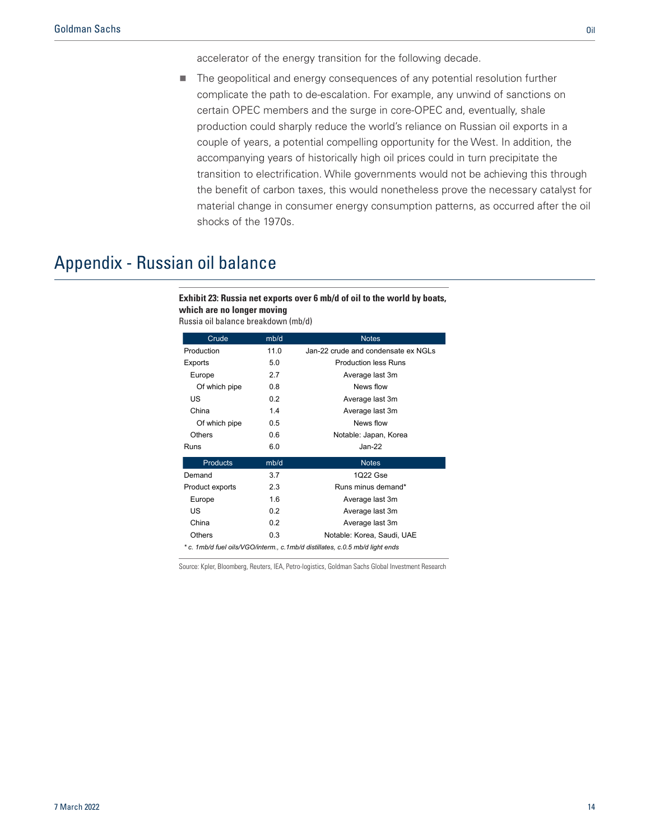accelerator of the energy transition for the following decade.

■ The geopolitical and energy consequences of any potential resolution further complicate the path to de-escalation. For example, any unwind of sanctions on certain OPEC members and the surge in core-OPEC and, eventually, shale production could sharply reduce the world's reliance on Russian oil exports in a couple of years, a potential compelling opportunity for the West. In addition, the accompanying years of historically high oil prices could in turn precipitate the transition to electrification. While governments would not be achieving this through the benefit of carbon taxes, this would nonetheless prove the necessary catalyst for material change in consumer energy consumption patterns, as occurred after the oil shocks of the 1970s.

# Appendix - Russian oil balance

**Exhibit 23: Russia net exports over 6 mb/d of oil to the world by boats, which are no longer moving** Russia oil balance breakdown (mb/d)

| Crude           | mb/d | <b>Notes</b>                                                                 |
|-----------------|------|------------------------------------------------------------------------------|
| Production      | 11.0 | Jan-22 crude and condensate ex NGLs                                          |
| Exports         | 5.0  | <b>Production less Runs</b>                                                  |
| Europe          | 2.7  | Average last 3m                                                              |
| Of which pipe   | 0.8  | News flow                                                                    |
| US              | 0.2  | Average last 3m                                                              |
| China           | 1.4  | Average last 3m                                                              |
| Of which pipe   | 0.5  | News flow                                                                    |
| <b>Others</b>   | 0.6  | Notable: Japan, Korea                                                        |
| Runs            | 6.0  | $Jan-22$                                                                     |
| <b>Products</b> | mb/d | <b>Notes</b>                                                                 |
| Demand          | 3.7  | 1Q22 Gse                                                                     |
| Product exports | 2.3  | Runs minus demand*                                                           |
| Europe          | 1.6  | Average last 3m                                                              |
| US              | 0.2  | Average last 3m                                                              |
| China           | 0.2  | Average last 3m                                                              |
| <b>Others</b>   | 0.3  | Notable: Korea, Saudi, UAE                                                   |
|                 |      | * c. 1mb/d fuel oils/VGO/interm., c.1mb/d distillates, c.0.5 mb/d light ends |

Source: Kpler, Bloomberg, Reuters, IEA, Petro-logistics, Goldman Sachs Global Investment Research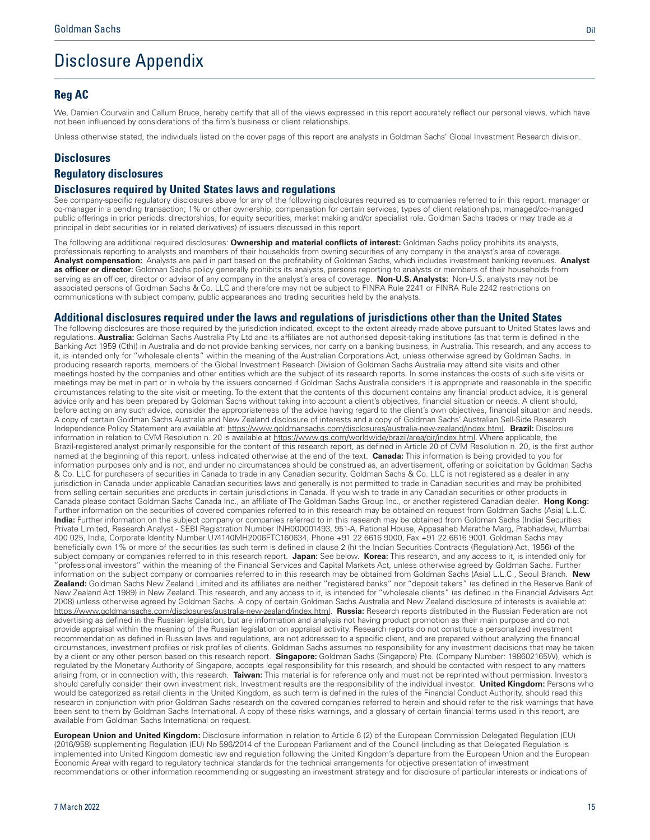# Disclosure Appendix

# **Reg AC**

We, Damien Courvalin and Callum Bruce, hereby certify that all of the views expressed in this report accurately reflect our personal views, which have not been influenced by considerations of the firm's business or client relationships.

Unless otherwise stated, the individuals listed on the cover page of this report are analysts in Goldman Sachs' Global Investment Research division.

## **Disclosures**

# **Regulatory disclosures**

#### **Disclosures required by United States laws and regulations**

See company-specific regulatory disclosures above for any of the following disclosures required as to companies referred to in this report: manager or co-manager in a pending transaction; 1% or other ownership; compensation for certain services; types of client relationships; managed/co-managed public offerings in prior periods; directorships; for equity securities, market making and/or specialist role. Goldman Sachs trades or may trade as a principal in debt securities (or in related derivatives) of issuers discussed in this report.

The following are additional required disclosures: **Ownership and material conflicts of interest:** Goldman Sachs policy prohibits its analysts, professionals reporting to analysts and members of their households from owning securities of any company in the analyst's area of coverage. **Analyst compensation:** Analysts are paid in part based on the profitability of Goldman Sachs, which includes investment banking revenues. **Analyst** as officer or director: Goldman Sachs policy generally prohibits its analysts, persons reporting to analysts or members of their households from serving as an officer, director or advisor of any company in the analyst's area of coverage. **Non-U.S. Analysts:** Non-U.S. analysts may not be associated persons of Goldman Sachs & Co. LLC and therefore may not be subject to FINRA Rule 2241 or FINRA Rule 2242 restrictions on communications with subject company, public appearances and trading securities held by the analysts.

#### **Additional disclosures required under the laws and regulations of jurisdictions other than the United States**

The following disclosures are those required by the jurisdiction indicated, except to the extent already made above pursuant to United States laws and regulations. **Australia:** Goldman Sachs Australia Pty Ltd and its affiliates are not authorised deposit-taking institutions (as that term is defined in the Banking Act 1959 (Cth)) in Australia and do not provide banking services, nor carry on a banking business, in Australia. This research, and any access to it, is intended only for "wholesale clients" within the meaning of the Australian Corporations Act, unless otherwise agreed by Goldman Sachs. In producing research reports, members of the Global Investment Research Division of Goldman Sachs Australia may attend site visits and other meetings hosted by the companies and other entities which are the subject of its research reports. In some instances the costs of such site visits or meetings may be met in part or in whole by the issuers concerned if Goldman Sachs Australia considers it is appropriate and reasonable in the specific circumstances relating to the site visit or meeting. To the extent that the contents of this document contains any financial product advice, it is general advice only and has been prepared by Goldman Sachs without taking into account a client's objectives, financial situation or needs. A client should, before acting on any such advice, consider the appropriateness of the advice having regard to the client's own objectives, financial situation and needs. A copy of certain Goldman Sachs Australia and New Zealand disclosure of interests and a copy of Goldman Sachs' Australian Sell-Side Research Independence Policy Statement are available at: [https://www.goldmansachs.com/disclosures/australia-new-zealand/index.html.](https://www.goldmansachs.com/disclosures/australia-new-zealand/index.html) **Brazil:** Disclosure information in relation to CVM Resolution n. 20 is available at [https://www.gs.com/worldwide/brazil/area/gir/index.html.](https://www.gs.com/worldwide/brazil/area/gir/index.html) Where applicable, the Brazil-registered analyst primarily responsible for the content of this research report, as defined in Article 20 of CVM Resolution n. 20, is the first author named at the beginning of this report, unless indicated otherwise at the end of the text. **Canada:** This information is being provided to you for information purposes only and is not, and under no circumstances should be construed as, an advertisement, offering or solicitation by Goldman Sachs & Co. LLC for purchasers of securities in Canada to trade in any Canadian security. Goldman Sachs & Co. LLC is not registered as a dealer in any jurisdiction in Canada under applicable Canadian securities laws and generally is not permitted to trade in Canadian securities and may be prohibited from selling certain securities and products in certain jurisdictions in Canada. If you wish to trade in any Canadian securities or other products in Canada please contact Goldman Sachs Canada Inc., an affiliate of The Goldman Sachs Group Inc., or another registered Canadian dealer. **Hong Kong:** Further information on the securities of covered companies referred to in this research may be obtained on request from Goldman Sachs (Asia) L.L.C. **India:** Further information on the subject company or companies referred to in this research may be obtained from Goldman Sachs (India) Securities Private Limited, Research Analyst - SEBI Registration Number INH000001493, 951-A, Rational House, Appasaheb Marathe Marg, Prabhadevi, Mumbai 400 025, India, Corporate Identity Number U74140MH2006FTC160634, Phone +91 22 6616 9000, Fax +91 22 6616 9001. Goldman Sachs may beneficially own 1% or more of the securities (as such term is defined in clause 2 (h) the Indian Securities Contracts (Regulation) Act, 1956) of the subject company or companies referred to in this research report. **Japan:** See below. **Korea:** This research, and any access to it, is intended only for "professional investors" within the meaning of the Financial Services and Capital Markets Act, unless otherwise agreed by Goldman Sachs. Further information on the subject company or companies referred to in this research may be obtained from Goldman Sachs (Asia) L.L.C., Seoul Branch. **New Zealand:** Goldman Sachs New Zealand Limited and its affiliates are neither "registered banks" nor "deposit takers" (as defined in the Reserve Bank of New Zealand Act 1989) in New Zealand. This research, and any access to it, is intended for "wholesale clients" (as defined in the Financial Advisers Act 2008) unless otherwise agreed by Goldman Sachs. A copy of certain Goldman Sachs Australia and New Zealand disclosure of interests is available at: [https://www.goldmansachs.com/disclosures/australia-new-zealand/index.html.](https://www.goldmansachs.com/disclosures/australia-new-zealand/index.html) **Russia:** Research reports distributed in the Russian Federation are not advertising as defined in the Russian legislation, but are information and analysis not having product promotion as their main purpose and do not provide appraisal within the meaning of the Russian legislation on appraisal activity. Research reports do not constitute a personalized investment recommendation as defined in Russian laws and regulations, are not addressed to a specific client, and are prepared without analyzing the financial circumstances, investment profiles or risk profiles of clients. Goldman Sachs assumes no responsibility for any investment decisions that may be taken by a client or any other person based on this research report. **Singapore:** Goldman Sachs (Singapore) Pte. (Company Number: 198602165W), which is regulated by the Monetary Authority of Singapore, accepts legal responsibility for this research, and should be contacted with respect to any matters arising from, or in connection with, this research. **Taiwan:** This material is for reference only and must not be reprinted without permission. Investors should carefully consider their own investment risk. Investment results are the responsibility of the individual investor. **United Kingdom:** Persons who would be categorized as retail clients in the United Kingdom, as such term is defined in the rules of the Financial Conduct Authority, should read this research in conjunction with prior Goldman Sachs research on the covered companies referred to herein and should refer to the risk warnings that have been sent to them by Goldman Sachs International. A copy of these risks warnings, and a glossary of certain financial terms used in this report, are available from Goldman Sachs International on request.

**European Union and United Kingdom:** Disclosure information in relation to Article 6 (2) of the European Commission Delegated Regulation (EU) (2016/958) supplementing Regulation (EU) No 596/2014 of the European Parliament and of the Council (including as that Delegated Regulation is implemented into United Kingdom domestic law and regulation following the United Kingdom's departure from the European Union and the European Economic Area) with regard to regulatory technical standards for the technical arrangements for objective presentation of investment recommendations or other information recommending or suggesting an investment strategy and for disclosure of particular interests or indications of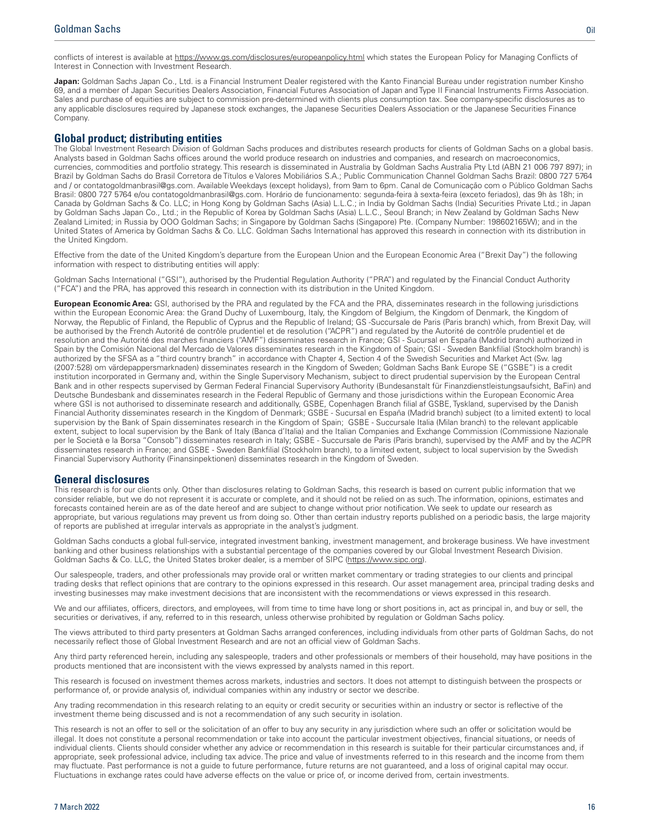conflicts of interest is available at<https://www.gs.com/disclosures/europeanpolicy.html>which states the European Policy for Managing Conflicts of Interest in Connection with Investment Research.

**Japan:** Goldman Sachs Japan Co., Ltd. is a Financial Instrument Dealer registered with the Kanto Financial Bureau under registration number Kinsho 69, and a member of Japan Securities Dealers Association, Financial Futures Association of Japan and Type II Financial Instruments Firms Association. Sales and purchase of equities are subject to commission pre-determined with clients plus consumption tax. See company-specific disclosures as to any applicable disclosures required by Japanese stock exchanges, the Japanese Securities Dealers Association or the Japanese Securities Finance Company.

#### **Global product; distributing entities**

The Global Investment Research Division of Goldman Sachs produces and distributes research products for clients of Goldman Sachs on a global basis. Analysts based in Goldman Sachs offices around the world produce research on industries and companies, and research on macroeconomics, currencies, commodities and portfolio strategy. This research is disseminated in Australia by Goldman Sachs Australia Pty Ltd (ABN 21 006 797 897); in Brazil by Goldman Sachs do Brasil Corretora de Títulos e Valores Mobiliários S.A.; Public Communication Channel Goldman Sachs Brazil: 0800 727 5764 and / or contatogoldmanbrasil@gs.com. Available Weekdays (except holidays), from 9am to 6pm. Canal de Comunicação com o Público Goldman Sachs Brasil: 0800 727 5764 e/ou contatogoldmanbrasil@gs.com. Horário de funcionamento: segunda-feira à sexta-feira (exceto feriados), das 9h às 18h; in Canada by Goldman Sachs & Co. LLC; in Hong Kong by Goldman Sachs (Asia) L.L.C.; in India by Goldman Sachs (India) Securities Private Ltd.; in Japan by Goldman Sachs Japan Co., Ltd.; in the Republic of Korea by Goldman Sachs (Asia) L.L.C., Seoul Branch; in New Zealand by Goldman Sachs New Zealand Limited; in Russia by OOO Goldman Sachs; in Singapore by Goldman Sachs (Singapore) Pte. (Company Number: 198602165W); and in the United States of America by Goldman Sachs & Co. LLC. Goldman Sachs International has approved this research in connection with its distribution in the United Kingdom.

Effective from the date of the United Kingdom's departure from the European Union and the European Economic Area ("Brexit Day") the following information with respect to distributing entities will apply:

Goldman Sachs International ("GSI"), authorised by the Prudential Regulation Authority ("PRA") and regulated by the Financial Conduct Authority ("FCA") and the PRA, has approved this research in connection with its distribution in the United Kingdom.

**European Economic Area:** GSI, authorised by the PRA and regulated by the FCA and the PRA, disseminates research in the following jurisdictions within the European Economic Area: the Grand Duchy of Luxembourg, Italy, the Kingdom of Belgium, the Kingdom of Denmark, the Kingdom of Norway, the Republic of Finland, the Republic of Cyprus and the Republic of Ireland; GS -Succursale de Paris (Paris branch) which, from Brexit Day, will be authorised by the French Autorité de contrôle prudentiel et de resolution ("ACPR") and regulated by the Autorité de contrôle prudentiel et de resolution and the Autorité des marches financiers ("AMF") disseminates research in France; GSI - Sucursal en España (Madrid branch) authorized in Spain by the Comisión Nacional del Mercado de Valores disseminates research in the Kingdom of Spain; GSI - Sweden Bankfilial (Stockholm branch) is authorized by the SFSA as a "third country branch" in accordance with Chapter 4, Section 4 of the Swedish Securities and Market Act (Sw. lag (2007:528) om värdepappersmarknaden) disseminates research in the Kingdom of Sweden; Goldman Sachs Bank Europe SE ("GSBE") is a credit institution incorporated in Germany and, within the Single Supervisory Mechanism, subject to direct prudential supervision by the European Central Bank and in other respects supervised by German Federal Financial Supervisory Authority (Bundesanstalt für Finanzdienstleistungsaufsicht, BaFin) and Deutsche Bundesbank and disseminates research in the Federal Republic of Germany and those jurisdictions within the European Economic Area where GSI is not authorised to disseminate research and additionally, GSBE, Copenhagen Branch filial af GSBE, Tyskland, supervised by the Danish Financial Authority disseminates research in the Kingdom of Denmark; GSBE - Sucursal en España (Madrid branch) subject (to a limited extent) to local supervision by the Bank of Spain disseminates research in the Kingdom of Spain; GSBE - Succursale Italia (Milan branch) to the relevant applicable extent, subject to local supervision by the Bank of Italy (Banca d'Italia) and the Italian Companies and Exchange Commission (Commissione Nazionale per le Società e la Borsa "Consob") disseminates research in Italy; GSBE - Succursale de Paris (Paris branch), supervised by the AMF and by the ACPR disseminates research in France; and GSBE - Sweden Bankfilial (Stockholm branch), to a limited extent, subject to local supervision by the Swedish Financial Supervisory Authority (Finansinpektionen) disseminates research in the Kingdom of Sweden.

#### **General disclosures**

This research is for our clients only. Other than disclosures relating to Goldman Sachs, this research is based on current public information that we consider reliable, but we do not represent it is accurate or complete, and it should not be relied on as such. The information, opinions, estimates and forecasts contained herein are as of the date hereof and are subject to change without prior notification. We seek to update our research as appropriate, but various regulations may prevent us from doing so. Other than certain industry reports published on a periodic basis, the large majority of reports are published at irregular intervals as appropriate in the analyst's judgment.

Goldman Sachs conducts a global full-service, integrated investment banking, investment management, and brokerage business. We have investment banking and other business relationships with a substantial percentage of the companies covered by our Global Investment Research Division. Goldman Sachs & Co. LLC, the United States broker dealer, is a member of SIPC [\(https://www.sipc.org\)](https://www.sipc.org).

Our salespeople, traders, and other professionals may provide oral or written market commentary or trading strategies to our clients and principal trading desks that reflect opinions that are contrary to the opinions expressed in this research. Our asset management area, principal trading desks and investing businesses may make investment decisions that are inconsistent with the recommendations or views expressed in this research.

We and our affiliates, officers, directors, and employees, will from time to time have long or short positions in, act as principal in, and buy or sell, the securities or derivatives, if any, referred to in this research, unless otherwise prohibited by regulation or Goldman Sachs policy.

The views attributed to third party presenters at Goldman Sachs arranged conferences, including individuals from other parts of Goldman Sachs, do not necessarily reflect those of Global Investment Research and are not an official view of Goldman Sachs.

Any third party referenced herein, including any salespeople, traders and other professionals or members of their household, may have positions in the products mentioned that are inconsistent with the views expressed by analysts named in this report.

This research is focused on investment themes across markets, industries and sectors. It does not attempt to distinguish between the prospects or performance of, or provide analysis of, individual companies within any industry or sector we describe.

Any trading recommendation in this research relating to an equity or credit security or securities within an industry or sector is reflective of the investment theme being discussed and is not a recommendation of any such security in isolation.

This research is not an offer to sell or the solicitation of an offer to buy any security in any jurisdiction where such an offer or solicitation would be illegal. It does not constitute a personal recommendation or take into account the particular investment objectives, financial situations, or needs of individual clients. Clients should consider whether any advice or recommendation in this research is suitable for their particular circumstances and, if appropriate, seek professional advice, including tax advice. The price and value of investments referred to in this research and the income from them may fluctuate. Past performance is not a guide to future performance, future returns are not guaranteed, and a loss of original capital may occur. Fluctuations in exchange rates could have adverse effects on the value or price of, or income derived from, certain investments.